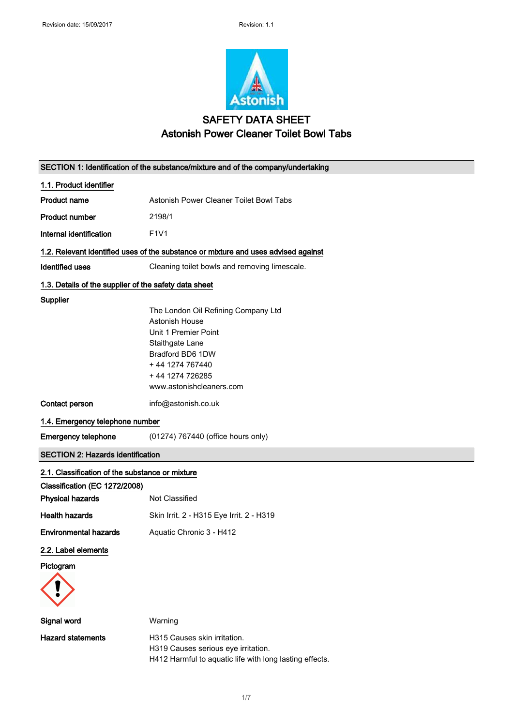

## SAFETY DATA SHEET Astonish Power Cleaner Toilet Bowl Tabs

| SECTION 1: Identification of the substance/mixture and of the company/undertaking |                                                                                                                                                                                        |  |
|-----------------------------------------------------------------------------------|----------------------------------------------------------------------------------------------------------------------------------------------------------------------------------------|--|
| 1.1. Product identifier                                                           |                                                                                                                                                                                        |  |
| <b>Product name</b>                                                               | <b>Astonish Power Cleaner Toilet Bowl Tabs</b>                                                                                                                                         |  |
| <b>Product number</b>                                                             | 2198/1                                                                                                                                                                                 |  |
| Internal identification                                                           | F <sub>1</sub> V <sub>1</sub>                                                                                                                                                          |  |
|                                                                                   | 1.2. Relevant identified uses of the substance or mixture and uses advised against                                                                                                     |  |
| <b>Identified uses</b>                                                            | Cleaning toilet bowls and removing limescale.                                                                                                                                          |  |
| 1.3. Details of the supplier of the safety data sheet                             |                                                                                                                                                                                        |  |
| Supplier                                                                          | The London Oil Refining Company Ltd<br>Astonish House<br>Unit 1 Premier Point<br>Staithgate Lane<br>Bradford BD6 1DW<br>+44 1274 767440<br>+44 1274 726285<br>www.astonishcleaners.com |  |
| Contact person                                                                    | info@astonish.co.uk                                                                                                                                                                    |  |
| 1.4. Emergency telephone number                                                   |                                                                                                                                                                                        |  |
| <b>Emergency telephone</b>                                                        | (01274) 767440 (office hours only)                                                                                                                                                     |  |
| <b>SECTION 2: Hazards identification</b>                                          |                                                                                                                                                                                        |  |
| 2.1. Classification of the substance or mixture                                   |                                                                                                                                                                                        |  |
| Classification (EC 1272/2008)                                                     |                                                                                                                                                                                        |  |
| <b>Physical hazards</b>                                                           | Not Classified                                                                                                                                                                         |  |
| <b>Health hazards</b>                                                             | Skin Irrit. 2 - H315 Eye Irrit. 2 - H319                                                                                                                                               |  |
| <b>Environmental hazards</b>                                                      | Aquatic Chronic 3 - H412                                                                                                                                                               |  |
| 2.2. Label elements                                                               |                                                                                                                                                                                        |  |
| Pictogram                                                                         |                                                                                                                                                                                        |  |
|                                                                                   |                                                                                                                                                                                        |  |
| Signal word                                                                       | Warning                                                                                                                                                                                |  |
| <b>Hazard statements</b>                                                          | H315 Causes skin irritation.<br>H319 Causes serious eye irritation.<br>H412 Harmful to aquatic life with long lasting effects.                                                         |  |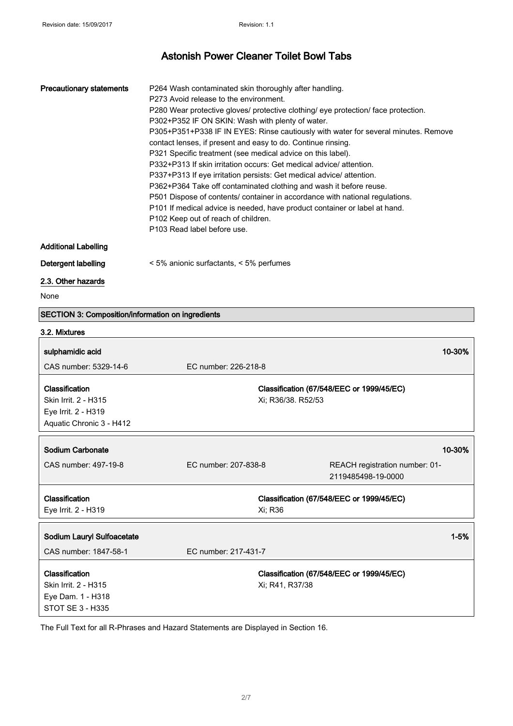| <b>Precautionary statements</b> | P264 Wash contaminated skin thoroughly after handling.                             |
|---------------------------------|------------------------------------------------------------------------------------|
|                                 | P273 Avoid release to the environment.                                             |
|                                 | P280 Wear protective gloves/ protective clothing/ eye protection/ face protection. |
|                                 | P302+P352 IF ON SKIN: Wash with plenty of water.                                   |
|                                 | P305+P351+P338 IF IN EYES: Rinse cautiously with water for several minutes. Remove |
|                                 | contact lenses, if present and easy to do. Continue rinsing.                       |
|                                 | P321 Specific treatment (see medical advice on this label).                        |
|                                 | P332+P313 If skin irritation occurs: Get medical advice/attention.                 |
|                                 | P337+P313 If eye irritation persists: Get medical advice/attention.                |
|                                 | P362+P364 Take off contaminated clothing and wash it before reuse.                 |
|                                 | P501 Dispose of contents/ container in accordance with national regulations.       |
|                                 | P101 If medical advice is needed, have product container or label at hand.         |
|                                 | P102 Keep out of reach of children.                                                |
|                                 | P103 Read label before use.                                                        |
|                                 |                                                                                    |

### Additional Labelling

Detergent labelling < 5% anionic surfactants, < 5% perfumes

### 2.3. Other hazards

None

### SECTION 3: Composition/information on ingredients

### 3.2. Mixtures

| sulphamidic acid                                                                          |                      | 10-30%                                               |
|-------------------------------------------------------------------------------------------|----------------------|------------------------------------------------------|
| CAS number: 5329-14-6                                                                     | EC number: 226-218-8 |                                                      |
| Classification<br>Skin Irrit. 2 - H315<br>Eye Irrit. 2 - H319<br>Aquatic Chronic 3 - H412 | Xi; R36/38. R52/53   | Classification (67/548/EEC or 1999/45/EC)            |
| Sodium Carbonate                                                                          |                      | 10-30%                                               |
| CAS number: 497-19-8                                                                      | EC number: 207-838-8 | REACH registration number: 01-<br>2119485498-19-0000 |
| Classification                                                                            |                      | Classification (67/548/EEC or 1999/45/EC)            |
| Eye Irrit. 2 - H319                                                                       | Xi; R36              |                                                      |
| Sodium Lauryl Sulfoacetate                                                                |                      | $1 - 5%$                                             |
| CAS number: 1847-58-1                                                                     | EC number: 217-431-7 |                                                      |
| Classification<br>Skin Irrit. 2 - H315<br>Eye Dam. 1 - H318<br>STOT SE 3 - H335           | Xi; R41, R37/38      | Classification (67/548/EEC or 1999/45/EC)            |

The Full Text for all R-Phrases and Hazard Statements are Displayed in Section 16.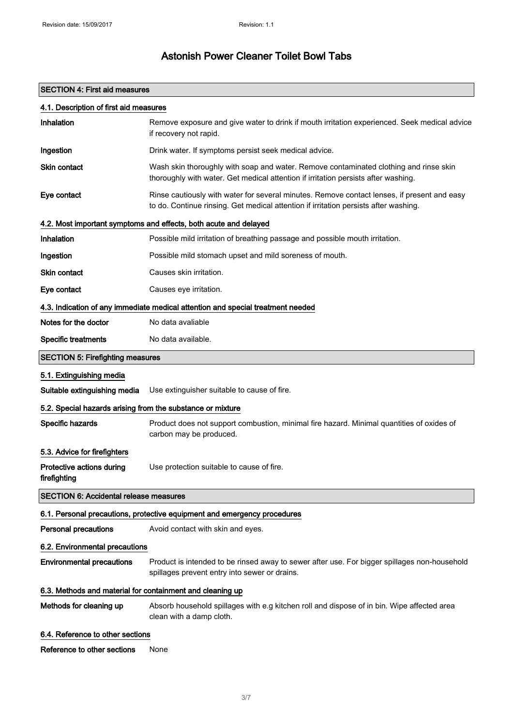## SECTION 4: First aid measures

| 4.1. Description of first aid measures                     |                                                                                                                                                                                     |  |
|------------------------------------------------------------|-------------------------------------------------------------------------------------------------------------------------------------------------------------------------------------|--|
| Inhalation                                                 | Remove exposure and give water to drink if mouth irritation experienced. Seek medical advice<br>if recovery not rapid.                                                              |  |
| Ingestion                                                  | Drink water. If symptoms persist seek medical advice.                                                                                                                               |  |
| <b>Skin contact</b>                                        | Wash skin thoroughly with soap and water. Remove contaminated clothing and rinse skin<br>thoroughly with water. Get medical attention if irritation persists after washing.         |  |
| Eye contact                                                | Rinse cautiously with water for several minutes. Remove contact lenses, if present and easy<br>to do. Continue rinsing. Get medical attention if irritation persists after washing. |  |
|                                                            | 4.2. Most important symptoms and effects, both acute and delayed                                                                                                                    |  |
| Inhalation                                                 | Possible mild irritation of breathing passage and possible mouth irritation.                                                                                                        |  |
| Ingestion                                                  | Possible mild stomach upset and mild soreness of mouth.                                                                                                                             |  |
| <b>Skin contact</b>                                        | Causes skin irritation.                                                                                                                                                             |  |
| Eye contact                                                | Causes eye irritation.                                                                                                                                                              |  |
|                                                            | 4.3. Indication of any immediate medical attention and special treatment needed                                                                                                     |  |
| Notes for the doctor                                       | No data avaliable                                                                                                                                                                   |  |
| <b>Specific treatments</b>                                 | No data available.                                                                                                                                                                  |  |
| <b>SECTION 5: Firefighting measures</b>                    |                                                                                                                                                                                     |  |
| 5.1. Extinguishing media                                   |                                                                                                                                                                                     |  |
| Suitable extinguishing media                               | Use extinguisher suitable to cause of fire.                                                                                                                                         |  |
| 5.2. Special hazards arising from the substance or mixture |                                                                                                                                                                                     |  |
| Specific hazards                                           | Product does not support combustion, minimal fire hazard. Minimal quantities of oxides of<br>carbon may be produced.                                                                |  |
| 5.3. Advice for firefighters                               |                                                                                                                                                                                     |  |
| Protective actions during<br>firefighting                  | Use protection suitable to cause of fire.                                                                                                                                           |  |
| <b>SECTION 6: Accidental release measures</b>              |                                                                                                                                                                                     |  |
|                                                            | 6.1. Personal precautions, protective equipment and emergency procedures                                                                                                            |  |
| <b>Personal precautions</b>                                | Avoid contact with skin and eyes.                                                                                                                                                   |  |
| 6.2. Environmental precautions                             |                                                                                                                                                                                     |  |
| <b>Environmental precautions</b>                           | Product is intended to be rinsed away to sewer after use. For bigger spillages non-household<br>spillages prevent entry into sewer or drains.                                       |  |
| 6.3. Methods and material for containment and cleaning up  |                                                                                                                                                                                     |  |
| Methods for cleaning up                                    | Absorb household spillages with e.g kitchen roll and dispose of in bin. Wipe affected area<br>clean with a damp cloth.                                                              |  |
| 6.4. Reference to other sections                           |                                                                                                                                                                                     |  |
| Reference to other sections                                | None                                                                                                                                                                                |  |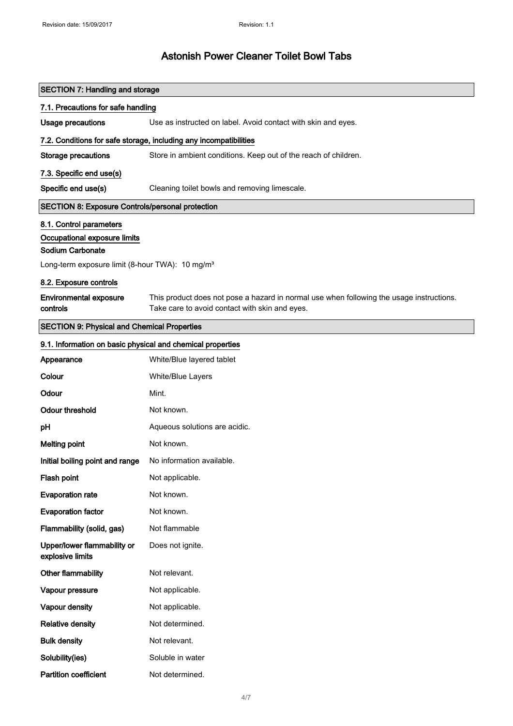| <b>SECTION 7: Handling and storage</b>                                          |                                                                                                                                            |  |
|---------------------------------------------------------------------------------|--------------------------------------------------------------------------------------------------------------------------------------------|--|
| 7.1. Precautions for safe handling                                              |                                                                                                                                            |  |
| <b>Usage precautions</b>                                                        | Use as instructed on label. Avoid contact with skin and eyes.                                                                              |  |
|                                                                                 | 7.2. Conditions for safe storage, including any incompatibilities                                                                          |  |
| <b>Storage precautions</b>                                                      | Store in ambient conditions. Keep out of the reach of children.                                                                            |  |
| 7.3. Specific end use(s)                                                        |                                                                                                                                            |  |
| Specific end use(s)                                                             | Cleaning toilet bowls and removing limescale.                                                                                              |  |
| <b>SECTION 8: Exposure Controls/personal protection</b>                         |                                                                                                                                            |  |
| 8.1. Control parameters                                                         |                                                                                                                                            |  |
| Occupational exposure limits                                                    |                                                                                                                                            |  |
| Sodium Carbonate<br>Long-term exposure limit (8-hour TWA): 10 mg/m <sup>3</sup> |                                                                                                                                            |  |
|                                                                                 |                                                                                                                                            |  |
| 8.2. Exposure controls                                                          |                                                                                                                                            |  |
| <b>Environmental exposure</b><br>controls                                       | This product does not pose a hazard in normal use when following the usage instructions.<br>Take care to avoid contact with skin and eyes. |  |
| <b>SECTION 9: Physical and Chemical Properties</b>                              |                                                                                                                                            |  |
| 9.1. Information on basic physical and chemical properties                      |                                                                                                                                            |  |
| Appearance                                                                      | White/Blue layered tablet                                                                                                                  |  |
| Colour                                                                          | White/Blue Layers                                                                                                                          |  |
| Odour                                                                           | Mint.                                                                                                                                      |  |
| <b>Odour threshold</b>                                                          | Not known.                                                                                                                                 |  |
| pH                                                                              | Aqueous solutions are acidic.                                                                                                              |  |
| <b>Melting point</b>                                                            | Not known.                                                                                                                                 |  |
| Initial boiling point and range                                                 | No information available.                                                                                                                  |  |
| Flash point                                                                     | Not applicable.                                                                                                                            |  |
| <b>Evaporation rate</b>                                                         | Not known.                                                                                                                                 |  |
| <b>Evaporation factor</b>                                                       | Not known.                                                                                                                                 |  |
| Flammability (solid, gas)                                                       | Not flammable                                                                                                                              |  |
| Upper/lower flammability or<br>explosive limits                                 | Does not ignite.                                                                                                                           |  |
| Other flammability                                                              | Not relevant.                                                                                                                              |  |
| Vapour pressure                                                                 | Not applicable.                                                                                                                            |  |
| Vapour density                                                                  | Not applicable.                                                                                                                            |  |
| <b>Relative density</b>                                                         | Not determined.                                                                                                                            |  |
| <b>Bulk density</b>                                                             | Not relevant.                                                                                                                              |  |
| Solubility(ies)                                                                 | Soluble in water                                                                                                                           |  |
| <b>Partition coefficient</b>                                                    | Not determined.                                                                                                                            |  |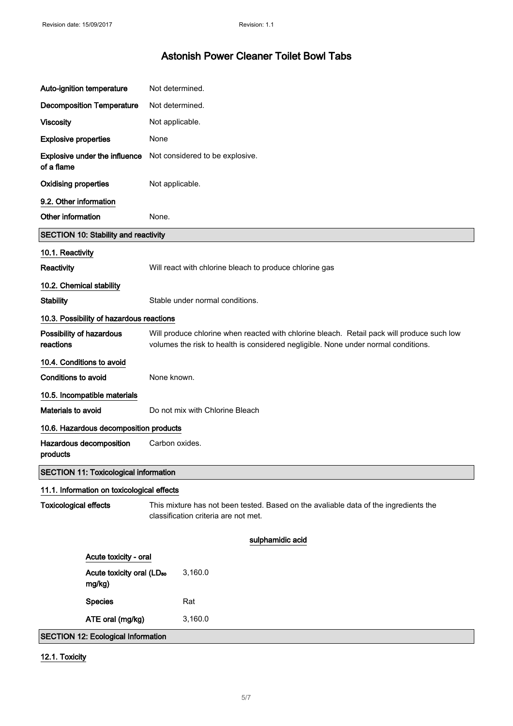| Auto-ignition temperature             |                                                 | Not determined.                                                                                                                                                                  |
|---------------------------------------|-------------------------------------------------|----------------------------------------------------------------------------------------------------------------------------------------------------------------------------------|
|                                       | <b>Decomposition Temperature</b>                | Not determined.                                                                                                                                                                  |
| <b>Viscosity</b>                      |                                                 | Not applicable.                                                                                                                                                                  |
| <b>Explosive properties</b>           |                                                 | None                                                                                                                                                                             |
| of a flame                            | Explosive under the influence                   | Not considered to be explosive.                                                                                                                                                  |
| <b>Oxidising properties</b>           |                                                 | Not applicable.                                                                                                                                                                  |
| 9.2. Other information                |                                                 |                                                                                                                                                                                  |
| Other information                     |                                                 | None.                                                                                                                                                                            |
|                                       | <b>SECTION 10: Stability and reactivity</b>     |                                                                                                                                                                                  |
| 10.1. Reactivity                      |                                                 |                                                                                                                                                                                  |
| Reactivity                            |                                                 | Will react with chlorine bleach to produce chlorine gas                                                                                                                          |
| 10.2. Chemical stability              |                                                 |                                                                                                                                                                                  |
| <b>Stability</b>                      |                                                 | Stable under normal conditions.                                                                                                                                                  |
|                                       | 10.3. Possibility of hazardous reactions        |                                                                                                                                                                                  |
| Possibility of hazardous<br>reactions |                                                 | Will produce chlorine when reacted with chlorine bleach. Retail pack will produce such low<br>volumes the risk to health is considered negligible. None under normal conditions. |
| 10.4. Conditions to avoid             |                                                 |                                                                                                                                                                                  |
| Conditions to avoid                   |                                                 | None known.                                                                                                                                                                      |
|                                       | 10.5. Incompatible materials                    |                                                                                                                                                                                  |
| Materials to avoid                    |                                                 | Do not mix with Chlorine Bleach                                                                                                                                                  |
|                                       | 10.6. Hazardous decomposition products          |                                                                                                                                                                                  |
| products                              | Hazardous decomposition                         | Carbon oxides.                                                                                                                                                                   |
|                                       | <b>SECTION 11: Toxicological information</b>    |                                                                                                                                                                                  |
|                                       | 11.1. Information on toxicological effects      |                                                                                                                                                                                  |
| <b>Toxicological effects</b>          |                                                 | This mixture has not been tested. Based on the avaliable data of the ingredients the<br>classification criteria are not met.                                                     |
|                                       |                                                 | sulphamidic acid                                                                                                                                                                 |
|                                       | Acute toxicity - oral                           |                                                                                                                                                                                  |
|                                       | Acute toxicity oral (LD <sub>50</sub><br>mg/kg) | 3,160.0                                                                                                                                                                          |
|                                       | <b>Species</b>                                  | Rat                                                                                                                                                                              |
|                                       | ATE oral (mg/kg)                                | 3,160.0                                                                                                                                                                          |
|                                       | <b>SECTION 12: Ecological Information</b>       |                                                                                                                                                                                  |

12.1. Toxicity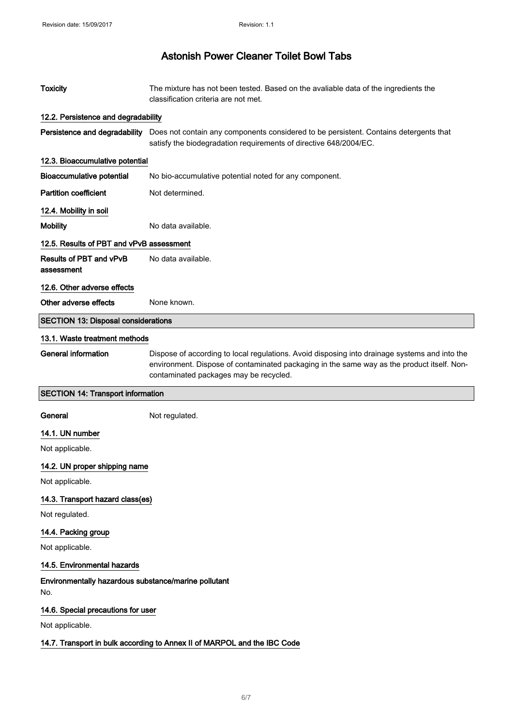| <b>Toxicity</b>                                                          | The mixture has not been tested. Based on the avaliable data of the ingredients the<br>classification criteria are not met.                                                                                                           |  |
|--------------------------------------------------------------------------|---------------------------------------------------------------------------------------------------------------------------------------------------------------------------------------------------------------------------------------|--|
| 12.2. Persistence and degradability                                      |                                                                                                                                                                                                                                       |  |
|                                                                          | Persistence and degradability Does not contain any components considered to be persistent. Contains detergents that<br>satisfy the biodegradation requirements of directive 648/2004/EC.                                              |  |
| 12.3. Bioaccumulative potential                                          |                                                                                                                                                                                                                                       |  |
| <b>Bioaccumulative potential</b>                                         | No bio-accumulative potential noted for any component.                                                                                                                                                                                |  |
| <b>Partition coefficient</b>                                             | Not determined.                                                                                                                                                                                                                       |  |
| 12.4. Mobility in soil                                                   |                                                                                                                                                                                                                                       |  |
| <b>Mobility</b>                                                          | No data available.                                                                                                                                                                                                                    |  |
| 12.5. Results of PBT and vPvB assessment                                 |                                                                                                                                                                                                                                       |  |
| Results of PBT and vPvB<br>assessment                                    | No data available.                                                                                                                                                                                                                    |  |
| 12.6. Other adverse effects                                              |                                                                                                                                                                                                                                       |  |
| Other adverse effects                                                    | None known.                                                                                                                                                                                                                           |  |
| <b>SECTION 13: Disposal considerations</b>                               |                                                                                                                                                                                                                                       |  |
| 13.1. Waste treatment methods                                            |                                                                                                                                                                                                                                       |  |
| <b>General information</b>                                               | Dispose of according to local regulations. Avoid disposing into drainage systems and into the<br>environment. Dispose of contaminated packaging in the same way as the product itself. Non-<br>contaminated packages may be recycled. |  |
| <b>SECTION 14: Transport information</b>                                 |                                                                                                                                                                                                                                       |  |
| General                                                                  | Not regulated.                                                                                                                                                                                                                        |  |
| 14.1. UN number                                                          |                                                                                                                                                                                                                                       |  |
| Not applicable.                                                          |                                                                                                                                                                                                                                       |  |
| 14.2. UN proper shipping name                                            |                                                                                                                                                                                                                                       |  |
| Not applicable.                                                          |                                                                                                                                                                                                                                       |  |
| 14.3. Transport hazard class(es)                                         |                                                                                                                                                                                                                                       |  |
| Not regulated.                                                           |                                                                                                                                                                                                                                       |  |
| 14.4. Packing group                                                      |                                                                                                                                                                                                                                       |  |
| Not applicable.                                                          |                                                                                                                                                                                                                                       |  |
| 14.5. Environmental hazards                                              |                                                                                                                                                                                                                                       |  |
| Environmentally hazardous substance/marine pollutant<br>No.              |                                                                                                                                                                                                                                       |  |
| 14.6. Special precautions for user                                       |                                                                                                                                                                                                                                       |  |
| Not applicable.                                                          |                                                                                                                                                                                                                                       |  |
| 14.7. Transport in bulk according to Annex II of MARPOL and the IBC Code |                                                                                                                                                                                                                                       |  |
|                                                                          |                                                                                                                                                                                                                                       |  |